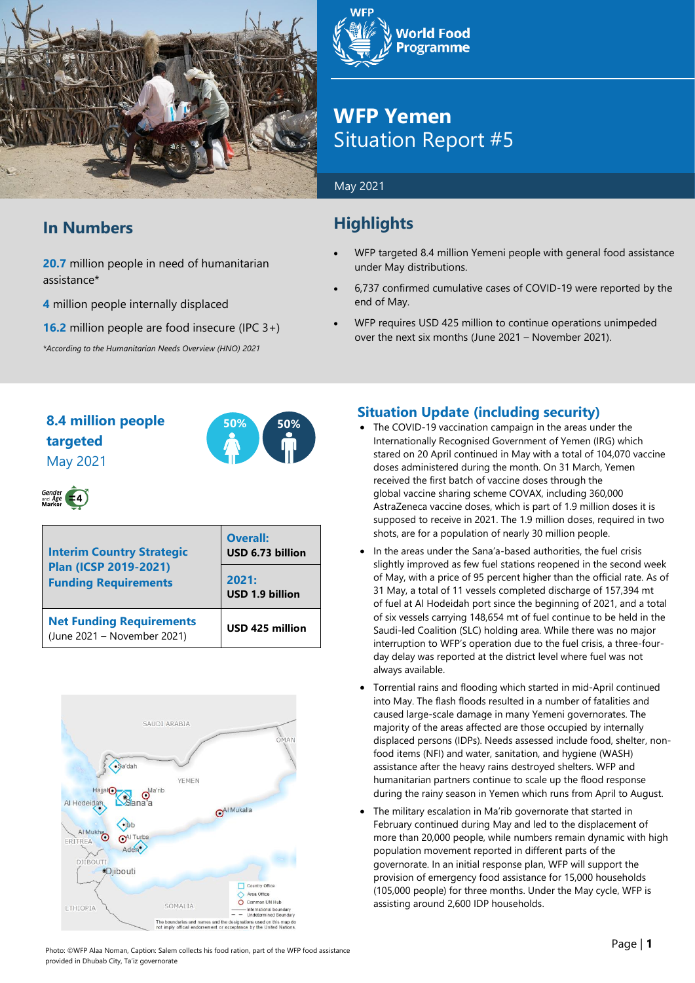

## **In Numbers**

**20.7** million people in need of humanitarian assistance\*

**4** million people internally displaced

**16.2** million people are food insecure (IPC 3+)

*\*According to the Humanitarian Needs Overview (HNO) 2021*



## **WFP Yemen** Situation Report #5

#### May 2021

## **Highlights**

- WFP targeted 8.4 million Yemeni people with general food assistance under May distributions.
- 6,737 confirmed cumulative cases of COVID-19 were reported by the end of May.
- WFP requires USD 425 million to continue operations unimpeded over the next six months (June 2021 – November 2021).

## **8.4 million people 50% 50% targeted** May 2021





| <b>Interim Country Strategic</b><br><b>Plan (ICSP 2019-2021)</b><br><b>Funding Requirements</b> | <b>Overall:</b><br>USD 6.73 billion |  |  |
|-------------------------------------------------------------------------------------------------|-------------------------------------|--|--|
|                                                                                                 | 2021:<br>USD 1.9 billion            |  |  |
| <b>Net Funding Requirements</b><br>(June 2021 - November 2021)                                  | USD 425 million                     |  |  |



## **Situation Update (including security)**

- The COVID-19 vaccination campaign in the areas under the Internationally Recognised Government of Yemen (IRG) which stared on 20 April continued in May with a total of 104,070 vaccine doses administered during the month. On 31 March, Yemen received the first batch of vaccine doses through the global vaccine sharing scheme COVAX, including 360,000 AstraZeneca vaccine doses, which is part of 1.9 million doses it is supposed to receive in 2021. The 1.9 million doses, required in two shots, are for a population of nearly 30 million people.
- In the areas under the Sana'a-based authorities, the fuel crisis slightly improved as few fuel stations reopened in the second week of May, with a price of 95 percent higher than the official rate. As of 31 May, a total of 11 vessels completed discharge of 157,394 mt of fuel at Al Hodeidah port since the beginning of 2021, and a total of six vessels carrying 148,654 mt of fuel continue to be held in the Saudi-led Coalition (SLC) holding area. While there was no major interruption to WFP's operation due to the fuel crisis, a three-fourday delay was reported at the district level where fuel was not always available.
- Torrential rains and flooding which started in mid-April continued into May. The flash floods resulted in a number of fatalities and caused large-scale damage in many Yemeni governorates. The majority of the areas affected are those occupied by internally displaced persons (IDPs). Needs assessed include food, shelter, nonfood items (NFI) and water, sanitation, and hygiene (WASH) assistance after the heavy rains destroyed shelters. WFP and humanitarian partners continue to scale up the flood response during the rainy season in Yemen which runs from April to August.
- The military escalation in Ma'rib governorate that started in February continued during May and led to the displacement of more than 20,000 people, while numbers remain dynamic with high population movement reported in different parts of the governorate. In an initial response plan, WFP will support the provision of emergency food assistance for 15,000 households (105,000 people) for three months. Under the May cycle, WFP is assisting around 2,600 IDP households.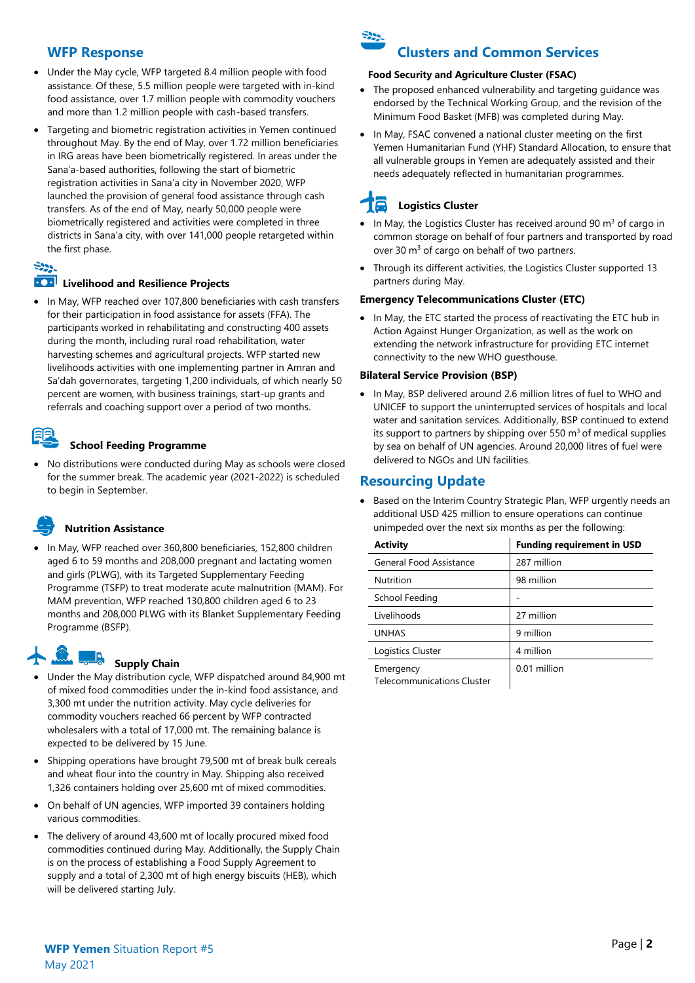#### **WFP Response**

- Under the May cycle, WFP targeted 8.4 million people with food assistance. Of these, 5.5 million people were targeted with in-kind food assistance, over 1.7 million people with commodity vouchers and more than 1.2 million people with cash-based transfers.
- Targeting and biometric registration activities in Yemen continued throughout May. By the end of May, over 1.72 million beneficiaries in IRG areas have been biometrically registered. In areas under the Sana'a-based authorities, following the start of biometric registration activities in Sana'a city in November 2020, WFP launched the provision of general food assistance through cash transfers. As of the end of May, nearly 50,000 people were biometrically registered and activities were completed in three districts in Sana'a city, with over 141,000 people retargeted within the first phase.

#### ودونية

#### **EXP** Livelihood and Resilience Projects

• In May, WFP reached over 107,800 beneficiaries with cash transfers for their participation in food assistance for assets (FFA). The participants worked in rehabilitating and constructing 400 assets during the month, including rural road rehabilitation, water harvesting schemes and agricultural projects. WFP started new livelihoods activities with one implementing partner in Amran and Sa'dah governorates, targeting 1,200 individuals, of which nearly 50 percent are women, with business trainings, start-up grants and referrals and coaching support over a period of two months.

#### **School Feeding Programme**

• No distributions were conducted during May as schools were closed for the summer break. The academic year (2021-2022) is scheduled to begin in September.

## **Nutrition Assistance**

• In May, WFP reached over 360,800 beneficiaries, 152,800 children aged 6 to 59 months and 208,000 pregnant and lactating women and girls (PLWG), with its Targeted Supplementary Feeding Programme (TSFP) to treat moderate acute malnutrition (MAM). For MAM prevention, WFP reached 130,800 children aged 6 to 23 months and 208,000 PLWG with its Blanket Supplementary Feeding Programme (BSFP).

# **Supply Chain**

- Under the May distribution cycle, WFP dispatched around 84,900 mt of mixed food commodities under the in-kind food assistance, and 3,300 mt under the nutrition activity. May cycle deliveries for commodity vouchers reached 66 percent by WFP contracted wholesalers with a total of 17,000 mt. The remaining balance is expected to be delivered by 15 June.
- Shipping operations have brought 79,500 mt of break bulk cereals and wheat flour into the country in May. Shipping also received 1,326 containers holding over 25,600 mt of mixed commodities.
- On behalf of UN agencies, WFP imported 39 containers holding various commodities.
- The delivery of around 43,600 mt of locally procured mixed food commodities continued during May. Additionally, the Supply Chain is on the process of establishing a Food Supply Agreement to supply and a total of 2,300 mt of high energy biscuits (HEB), which will be delivered starting July.



## **Clusters and Common Services**

#### **Food Security and Agriculture Cluster (FSAC)**

- The proposed enhanced vulnerability and targeting guidance was endorsed by the Technical Working Group, and the revision of the Minimum Food Basket (MFB) was completed during May.
- In May, FSAC convened a national cluster meeting on the first Yemen Humanitarian Fund (YHF) Standard Allocation, to ensure that all vulnerable groups in Yemen are adequately assisted and their needs adequately reflected in humanitarian programmes.

## **Logistics Cluster**

- In May, the Logistics Cluster has received around 90  $m<sup>3</sup>$  of cargo in common storage on behalf of four partners and transported by road over 30 m<sup>3</sup> of cargo on behalf of two partners.
- Through its different activities, the Logistics Cluster supported 13 partners during May.

#### **Emergency Telecommunications Cluster (ETC)**

• In May, the ETC started the process of reactivating the ETC hub in Action Against Hunger Organization, as well as the work on extending the network infrastructure for providing ETC internet connectivity to the new WHO guesthouse.

#### **Bilateral Service Provision (BSP)**

• In May, BSP delivered around 2.6 million litres of fuel to WHO and UNICEF to support the uninterrupted services of hospitals and local water and sanitation services. Additionally, BSP continued to extend its support to partners by shipping over 550  $m<sup>3</sup>$  of medical supplies by sea on behalf of UN agencies. Around 20,000 litres of fuel were delivered to NGOs and UN facilities.

### **Resourcing Update**

Based on the Interim Country Strategic Plan, WFP urgently needs an additional USD 425 million to ensure operations can continue unimpeded over the next six months as per the following:

| <b>Activity</b>                                | <b>Funding requirement in USD</b> |
|------------------------------------------------|-----------------------------------|
| General Food Assistance                        | 287 million                       |
| Nutrition                                      | 98 million                        |
| School Feeding                                 |                                   |
| Livelihoods                                    | 27 million                        |
| <b>UNHAS</b>                                   | 9 million                         |
| Logistics Cluster                              | 4 million                         |
| Emergency<br><b>Telecommunications Cluster</b> | 0.01 million                      |